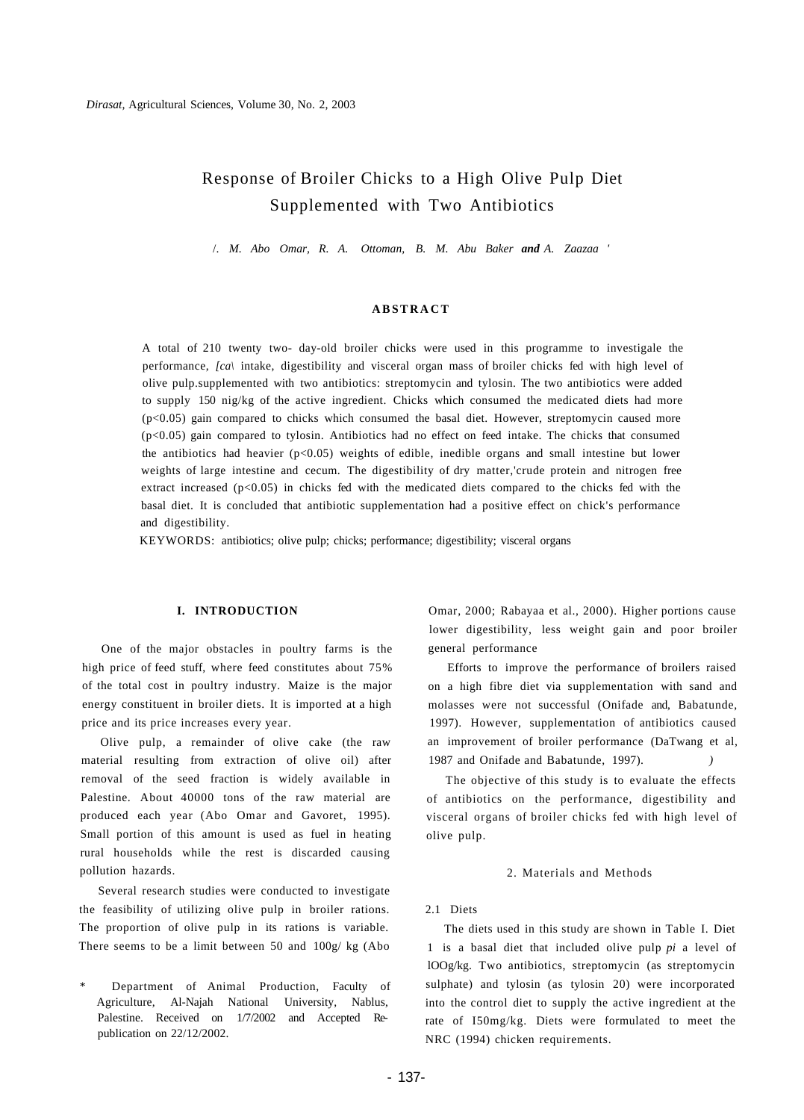# Response of Broiler Chicks to a High Olive Pulp Diet Supplemented with Two Antibiotics

/. *M. Abo Omar, R. A. Ottoman, B. M. Abu Baker and A. Zaazaa '* 

#### **ABSTRAC T**

A total of 210 twenty two- day-old broiler chicks were used in this programme to investigale the performance, *[ca\* intake, digestibility and visceral organ mass of broiler chicks fed with high level of olive pulp.supplemented with two antibiotics: streptomycin and tylosin. The two antibiotics were added to supply 150 nig/kg of the active ingredient. Chicks which consumed the medicated diets had more  $(p<0.05)$  gain compared to chicks which consumed the basal diet. However, streptomycin caused more (p<0.05) gain compared to tylosin. Antibiotics had no effect on feed intake. The chicks that consumed the antibiotics had heavier  $(p<0.05)$  weights of edible, inedible organs and small intestine but lower weights of large intestine and cecum. The digestibility of dry matter,'crude protein and nitrogen free extract increased ( $p<0.05$ ) in chicks fed with the medicated diets compared to the chicks fed with the basal diet. It is concluded that antibiotic supplementation had a positive effect on chick's performance and digestibility.

KEYWORDS: antibiotics; olive pulp; chicks; performance; digestibility; visceral organs

#### **I. INTRODUCTION**

One of the major obstacles in poultry farms is the high price of feed stuff, where feed constitutes about 75% of the total cost in poultry industry. Maize is the major energy constituent in broiler diets. It is imported at a high price and its price increases every year.

Olive pulp, a remainder of olive cake (the raw material resulting from extraction of olive oil) after removal of the seed fraction is widely available in Palestine. About 40000 tons of the raw material are produced each year (Abo Omar and Gavoret, 1995). Small portion of this amount is used as fuel in heating rural households while the rest is discarded causing pollution hazards.

Several research studies were conducted to investigate the feasibility of utilizing olive pulp in broiler rations. The proportion of olive pulp in its rations is variable. There seems to be a limit between 50 and 100g/ kg (Abo

Department of Animal Production, Faculty of Agriculture, Al-Najah National University, Nablus, Palestine. Received on 1/7/2002 and Accepted Republication on 22/12/2002.

Omar, 2000; Rabayaa et al., 2000). Higher portions cause lower digestibility, less weight gain and poor broiler general performance

Efforts to improve the performance of broilers raised on a high fibre diet via supplementation with sand and molasses were not successful (Onifade and, Babatunde, 1997). However, supplementation of antibiotics caused an improvement of broiler performance (DaTwang et al, 1987 and Onifade and Babatunde, 1997).

The objective of this study is to evaluate the effects of antibiotics on the performance, digestibility and visceral organs of broiler chicks fed with high level of olive pulp.

#### 2. Materials and Methods

## 2.1 Diets

The diets used in this study are shown in Table I. Diet 1 is a basal diet that included olive pulp *pi* a level of lOOg/kg. Two antibiotics, streptomycin (as streptomycin sulphate) and tylosin (as tylosin 20) were incorporated into the control diet to supply the active ingredient at the rate of I50mg/kg. Diets were formulated to meet the NRC (1994) chicken requirements.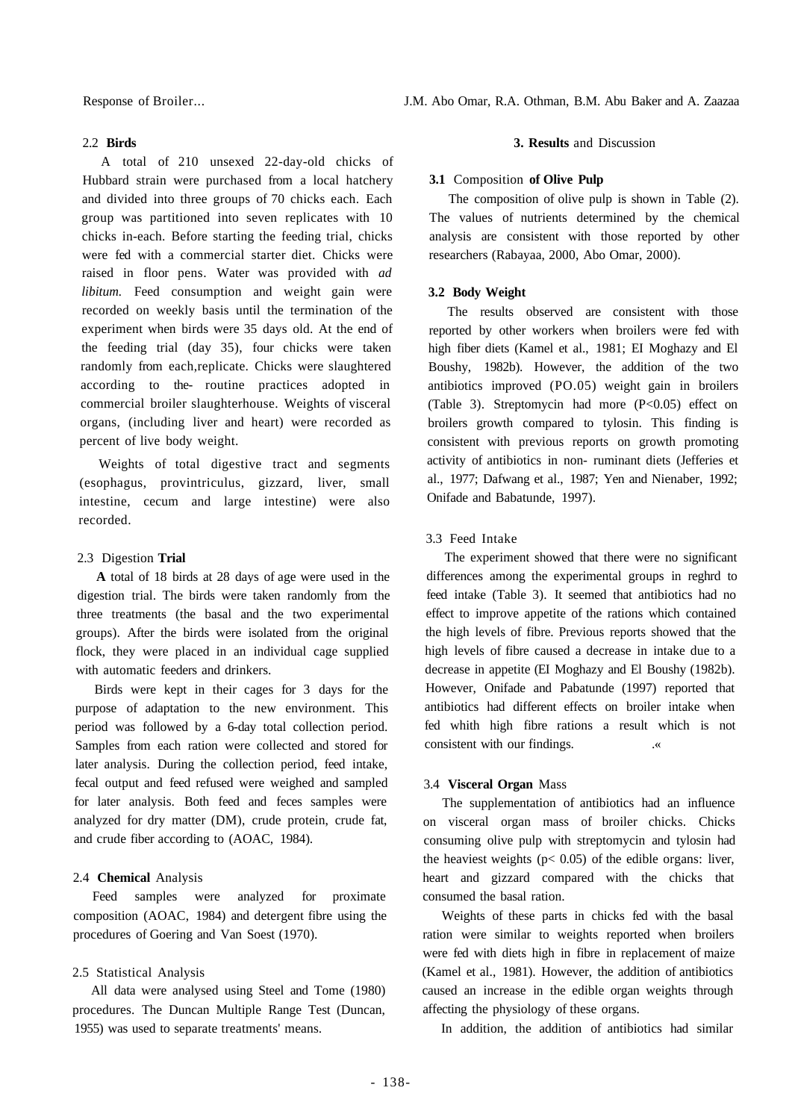## 2.2 **Birds**

A total of 210 unsexed 22-day-old chicks of Hubbard strain were purchased from a local hatchery and divided into three groups of 70 chicks each. Each group was partitioned into seven replicates with 10 chicks in-each. Before starting the feeding trial, chicks were fed with a commercial starter diet. Chicks were raised in floor pens. Water was provided with *ad libitum.* Feed consumption and weight gain were recorded on weekly basis until the termination of the experiment when birds were 35 days old. At the end of the feeding trial (day 35), four chicks were taken randomly from each,replicate. Chicks were slaughtered according to the- routine practices adopted in commercial broiler slaughterhouse. Weights of visceral organs, (including liver and heart) were recorded as percent of live body weight.

Weights of total digestive tract and segments (esophagus, provintriculus, gizzard, liver, small intestine, cecum and large intestine) were also recorded.

# 2.3 Digestion **Trial**

**A** total of 18 birds at 28 days of age were used in the digestion trial. The birds were taken randomly from the three treatments (the basal and the two experimental groups). After the birds were isolated from the original flock, they were placed in an individual cage supplied with automatic feeders and drinkers.

Birds were kept in their cages for 3 days for the purpose of adaptation to the new environment. This period was followed by a 6-day total collection period. Samples from each ration were collected and stored for later analysis. During the collection period, feed intake, fecal output and feed refused were weighed and sampled for later analysis. Both feed and feces samples were analyzed for dry matter (DM), crude protein, crude fat, and crude fiber according to (AOAC, 1984).

# 2.4 **Chemical** Analysis

Feed samples were analyzed for proximate composition (AOAC, 1984) and detergent fibre using the procedures of Goering and Van Soest (1970).

# 2.5 Statistical Analysis

All data were analysed using Steel and Tome (1980) procedures. The Duncan Multiple Range Test (Duncan, 1955) was used to separate treatments' means.

#### **3. Results** and Discussion

# **3.1** Composition **of Olive Pulp**

The composition of olive pulp is shown in Table (2). The values of nutrients determined by the chemical analysis are consistent with those reported by other researchers (Rabayaa, 2000, Abo Omar, 2000).

#### **3.2 Body Weight**

The results observed are consistent with those reported by other workers when broilers were fed with high fiber diets (Kamel et al., 1981; EI Moghazy and El Boushy, 1982b). However, the addition of the two antibiotics improved (PO.05) weight gain in broilers (Table 3). Streptomycin had more (P<0.05) effect on broilers growth compared to tylosin. This finding is consistent with previous reports on growth promoting activity of antibiotics in non- ruminant diets (Jefferies et al., 1977; Dafwang et al., 1987; Yen and Nienaber, 1992; Onifade and Babatunde, 1997).

# 3.3 Feed Intake

The experiment showed that there were no significant differences among the experimental groups in reghrd to feed intake (Table 3). It seemed that antibiotics had no effect to improve appetite of the rations which contained the high levels of fibre. Previous reports showed that the high levels of fibre caused a decrease in intake due to a decrease in appetite (EI Moghazy and El Boushy (1982b). However, Onifade and Pabatunde (1997) reported that antibiotics had different effects on broiler intake when fed whith high fibre rations a result which is not consistent with our findings.  $\frac{1}{100}$  .

#### 3.4 **Visceral Organ** Mass

The supplementation of antibiotics had an influence on visceral organ mass of broiler chicks. Chicks consuming olive pulp with streptomycin and tylosin had the heaviest weights ( $p$ < 0.05) of the edible organs: liver, heart and gizzard compared with the chicks that consumed the basal ration.

Weights of these parts in chicks fed with the basal ration were similar to weights reported when broilers were fed with diets high in fibre in replacement of maize (Kamel et al., 1981). However, the addition of antibiotics caused an increase in the edible organ weights through affecting the physiology of these organs.

In addition, the addition of antibiotics had similar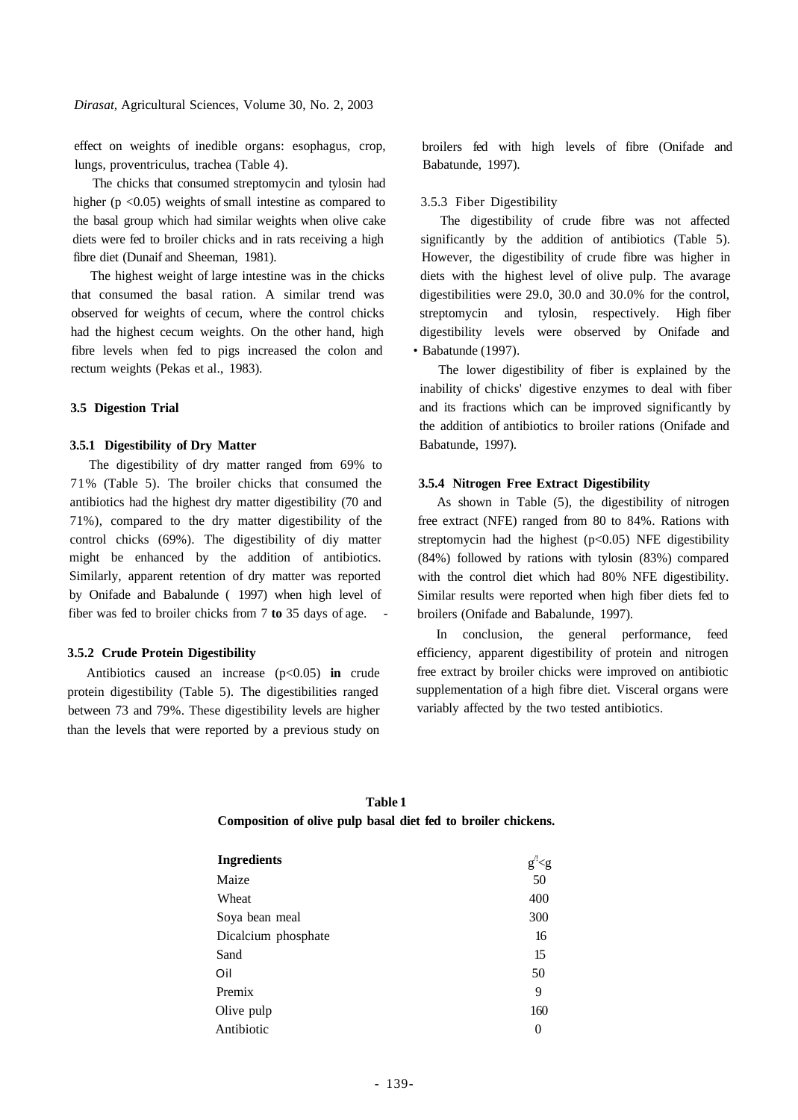*Dirasat,* Agricultural Sciences, Volume 30, No. 2, 2003

effect on weights of inedible organs: esophagus, crop, lungs, proventriculus, trachea (Table 4).

The chicks that consumed streptomycin and tylosin had higher ( $p \le 0.05$ ) weights of small intestine as compared to the basal group which had similar weights when olive cake diets were fed to broiler chicks and in rats receiving a high fibre diet (Dunaif and Sheeman, 1981).

The highest weight of large intestine was in the chicks that consumed the basal ration. A similar trend was observed for weights of cecum, where the control chicks had the highest cecum weights. On the other hand, high fibre levels when fed to pigs increased the colon and rectum weights (Pekas et al., 1983).

## **3.5 Digestion Trial**

## **3.5.1 Digestibility of Dry Matter**

The digestibility of dry matter ranged from 69% to 71% (Table 5). The broiler chicks that consumed the antibiotics had the highest dry matter digestibility (70 and 71%), compared to the dry matter digestibility of the control chicks (69%). The digestibility of diy matter might be enhanced by the addition of antibiotics. Similarly, apparent retention of dry matter was reported by Onifade and Babalunde ( 1997) when high level of fiber was fed to broiler chicks from 7 **to** 35 days of age. -

#### **3.5.2 Crude Protein Digestibility**

Antibiotics caused an increase (p<0.05) **in** crude protein digestibility (Table 5). The digestibilities ranged between 73 and 79%. These digestibility levels are higher than the levels that were reported by a previous study on broilers fed with high levels of fibre (Onifade and Babatunde, 1997).

# 3.5.3 Fiber Digestibility

The digestibility of crude fibre was not affected significantly by the addition of antibiotics (Table 5). However, the digestibility of crude fibre was higher in diets with the highest level of olive pulp. The avarage digestibilities were 29.0, 30.0 and 30.0% for the control, streptomycin and tylosin, respectively. High fiber digestibility levels were observed by Onifade and • Babatunde (1997).

The lower digestibility of fiber is explained by the inability of chicks' digestive enzymes to deal with fiber and its fractions which can be improved significantly by the addition of antibiotics to broiler rations (Onifade and Babatunde, 1997).

#### **3.5.4 Nitrogen Free Extract Digestibility**

As shown in Table (5), the digestibility of nitrogen free extract (NFE) ranged from 80 to 84%. Rations with streptomycin had the highest  $(p<0.05)$  NFE digestibility (84%) followed by rations with tylosin (83%) compared with the control diet which had 80% NFE digestibility. Similar results were reported when high fiber diets fed to broilers (Onifade and Babalunde, 1997).

In conclusion, the general performance, feed efficiency, apparent digestibility of protein and nitrogen free extract by broiler chicks were improved on antibiotic supplementation of a high fibre diet. Visceral organs were variably affected by the two tested antibiotics.

| Table 1                                                       |  |  |  |  |  |  |
|---------------------------------------------------------------|--|--|--|--|--|--|
| Composition of olive pulp basal diet fed to broiler chickens. |  |  |  |  |  |  |

| <b>Ingredients</b>  | g' < g   |
|---------------------|----------|
| Maize               | 50       |
| Wheat               | 400      |
| Soya bean meal      | 300      |
| Dicalcium phosphate | 16       |
| Sand                | 15       |
| Oil                 | 50       |
| Premix              | 9        |
| Olive pulp          | 160      |
| Antibiotic          | $\Omega$ |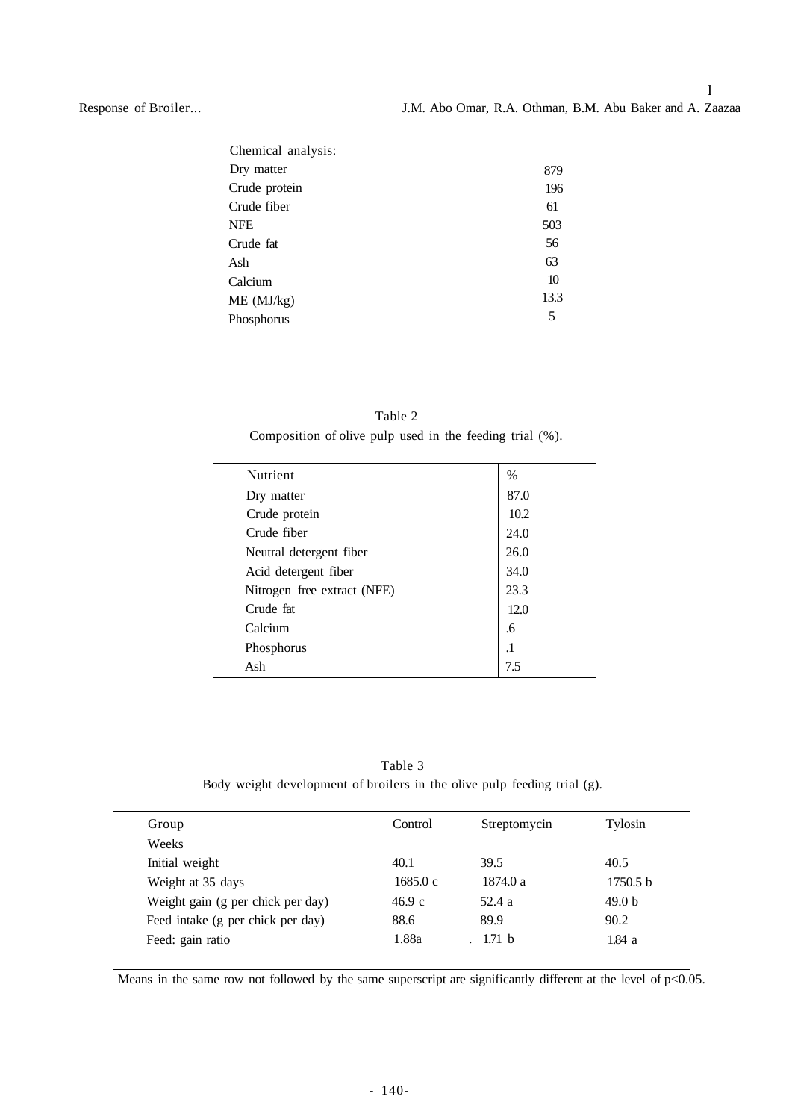Response of Broiler...

| Chemical analysis: |      |
|--------------------|------|
| Dry matter         | 879  |
| Crude protein      | 196  |
| Crude fiber        | 61   |
| <b>NFE</b>         | 503  |
| Crude fat          | 56   |
| Ash                | 63   |
| Calcium            | 10   |
| ME (MJ/kg)         | 13.3 |
| Phosphorus         | 5    |
|                    |      |

Table 2 Composition of olive pulp used in the feeding trial (%).

| <b>Nutrient</b>             | $\%$      |
|-----------------------------|-----------|
| Dry matter                  | 87.0      |
| Crude protein               | 10.2      |
| Crude fiber                 | 24.0      |
| Neutral detergent fiber     | 26.0      |
| Acid detergent fiber        | 34.0      |
| Nitrogen free extract (NFE) | 23.3      |
| Crude fat                   | 12.0      |
| Calcium                     | .6        |
| Phosphorus                  | $\cdot$ 1 |
| Ash                         | 7.5       |

Table 3 Body weight development of broilers in the olive pulp feeding trial (g).

| Group                             | Control | Streptomycin | Tylosin           |
|-----------------------------------|---------|--------------|-------------------|
| Weeks                             |         |              |                   |
| Initial weight                    | 40.1    | 39.5         | 40.5              |
| Weight at 35 days                 | 1685.0c | 1874.0 a     | 1750.5 b          |
| Weight gain (g per chick per day) | 46.9c   | 52.4 a       | 49.0 <sub>b</sub> |
| Feed intake (g per chick per day) | 88.6    | 89.9         | 90.2              |
| Feed: gain ratio                  | 1.88a   | 1.71 b       | 1.84 a            |
|                                   |         |              |                   |

Means in the same row not followed by the same superscript are significantly different at the level of p<0.05.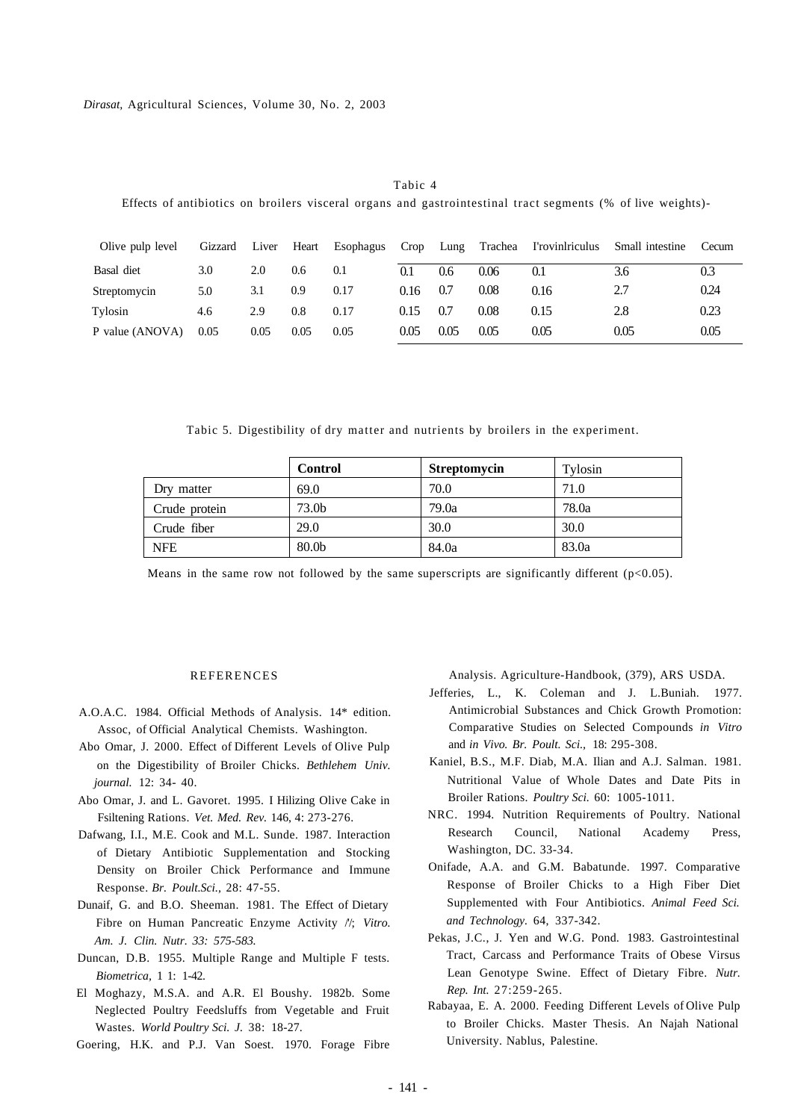| Effects of antibiotics on broilers visceral organs and gastrointestinal tract segments (% of live weights)- |         |       |       |           |      |      |         |                 |                 |       |
|-------------------------------------------------------------------------------------------------------------|---------|-------|-------|-----------|------|------|---------|-----------------|-----------------|-------|
| Olive pulp level                                                                                            | Gizzard | Liver | Heart | Esophagus | Crop | Lung | Trachea | I'rovinlriculus | Small intestine | Cecum |
| Basal diet                                                                                                  | 3.0     | 2.0   | 0.6   | 0.1       | 0.1  | 0.6  | 0.06    | 0.1             | 3.6             | 0.3   |
| Streptomycin                                                                                                | 5.0     | 3.1   | 0.9   | 0.17      | 0.16 | 0.7  | 0.08    | 0.16            | 2.7             | 0.24  |
| Tylosin                                                                                                     | 4.6     | 2.9   | 0.8   | 0.17      | 0.15 | 0.7  | 0.08    | 0.15            | 2.8             | 0.23  |
| P value (ANOVA)                                                                                             | 0.05    | 0.05  | 0.05  | 0.05      | 0.05 | 0.05 | 0.05    | 0.05            | 0.05            | 0.05  |

Tabic 4

Tabic 5. Digestibility of dry matter and nutrients by broilers in the experiment.

|               | <b>Control</b>    | <b>Streptomycin</b> | Tylosin |
|---------------|-------------------|---------------------|---------|
| Dry matter    | 69.0              | 70.0                | 71.0    |
| Crude protein | 73.0b             | 79.0a               | 78.0a   |
| Crude fiber   | 29.0              | 30.0                | 30.0    |
| <b>NFE</b>    | 80.0 <sub>b</sub> | 84.0a               | 83.0a   |

Means in the same row not followed by the same superscripts are significantly different  $(p<0.05)$ .

#### REFERENCES

- A.O.A.C. 1984. Official Methods of Analysis. 14\* edition. Assoc, of Official Analytical Chemists. Washington.
- Abo Omar, J. 2000. Effect of Different Levels of Olive Pulp on the Digestibility of Broiler Chicks. *Bethlehem Univ. journal.* 12: 34- 40.
- Abo Omar, J. and L. Gavoret. 1995. I Hilizing Olive Cake in Fsiltening Rations. *Vet. Med. Rev.* 146, 4: 273-276.
- Dafwang, I.I., M.E. Cook and M.L. Sunde. 1987. Interaction of Dietary Antibiotic Supplementation and Stocking Density on Broiler Chick Performance and Immune Response. *Br. Poult.Sci.,* 28: 47-55.
- Dunaif, G. and B.O. Sheeman. 1981. The Effect of Dietary Fibre on Human Pancreatic Enzyme Activity /'/; *Vitro. Am. J. Clin. Nutr. 33: 575-583.*
- Duncan, D.B. 1955. Multiple Range and Multiple F tests. *Biometrica,* 1 1: 1-42.
- El Moghazy, M.S.A. and A.R. El Boushy. 1982b. Some Neglected Poultry Feedsluffs from Vegetable and Fruit Wastes. *World Poultry Sci. J.* 38: 18-27.

Goering, H.K. and P.J. Van Soest. 1970. Forage Fibre

Analysis. Agriculture-Handbook, (379), ARS USDA.

- Jefferies, L., K. Coleman and J. L.Buniah. 1977. Antimicrobial Substances and Chick Growth Promotion: Comparative Studies on Selected Compounds *in Vitro*  and *in Vivo. Br. Poult. Sci.,* 18: 295-308.
- Kaniel, B.S., M.F. Diab, M.A. Ilian and A.J. Salman. 1981. Nutritional Value of Whole Dates and Date Pits in Broiler Rations. *Poultry Sci.* 60: 1005-1011.
- NRC. 1994. Nutrition Requirements of Poultry. National Research Council, National Academy Press, Washington, DC. 33-34.
- Onifade, A.A. and G.M. Babatunde. 1997. Comparative Response of Broiler Chicks to a High Fiber Diet Supplemented with Four Antibiotics. *Animal Feed Sci. and Technology.* 64, 337-342.
- Pekas, J.C., J. Yen and W.G. Pond. 1983. Gastrointestinal Tract, Carcass and Performance Traits of Obese Virsus Lean Genotype Swine. Effect of Dietary Fibre. *Nutr. Rep. Int.* 27:259-265.
- Rabayaa, E. A. 2000. Feeding Different Levels of Olive Pulp to Broiler Chicks. Master Thesis. An Najah National University. Nablus, Palestine.